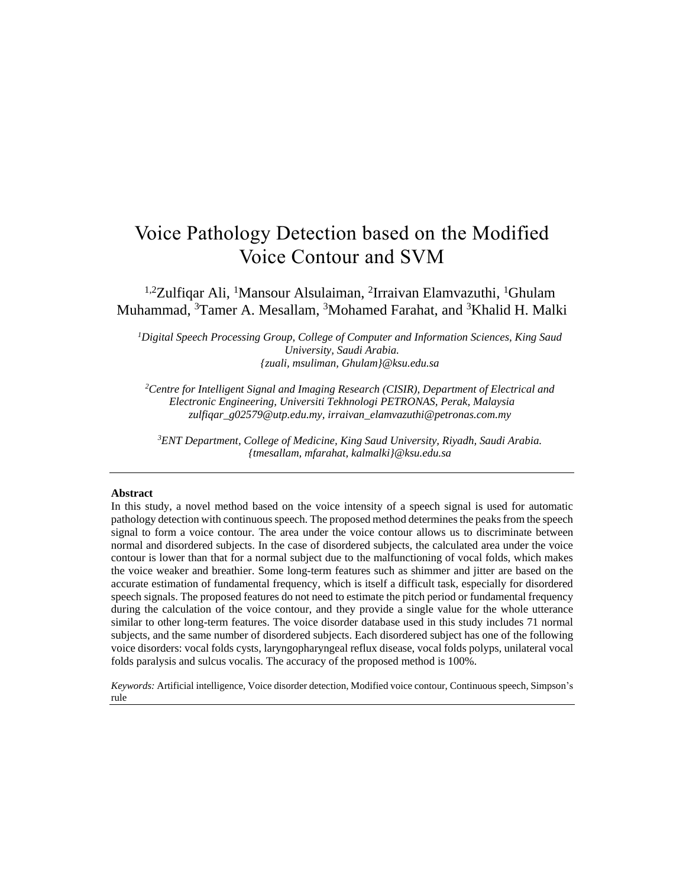# Voice Pathology Detection based on the Modified Voice Contour and SVM

<sup>1,2</sup>Zulfiqar Ali, <sup>1</sup>Mansour Alsulaiman, <sup>2</sup>Irraivan Elamvazuthi, <sup>1</sup>Ghulam Muhammad, <sup>3</sup>Tamer A. Mesallam, <sup>3</sup>Mohamed Farahat, and <sup>3</sup>Khalid H. Malki

*<sup>1</sup>Digital Speech Processing Group, College of Computer and Information Sciences, King Saud University, Saudi Arabia. {zuali, msuliman, Ghulam}@ksu.edu.sa*

*<sup>2</sup>Centre for Intelligent Signal and Imaging Research (CISIR), Department of Electrical and Electronic Engineering, Universiti Tekhnologi PETRONAS, Perak, Malaysia zulfiqar\_g02579@utp.edu.my, irraivan\_elamvazuthi@petronas.com.my*

*<sup>3</sup>ENT Department, College of Medicine, King Saud University, Riyadh, Saudi Arabia. {tmesallam, mfarahat, kalmalki}@ksu.edu.sa*

#### **Abstract**

In this study, a novel method based on the voice intensity of a speech signal is used for automatic pathology detection with continuous speech. The proposed method determines the peaks from the speech signal to form a voice contour. The area under the voice contour allows us to discriminate between normal and disordered subjects. In the case of disordered subjects, the calculated area under the voice contour is lower than that for a normal subject due to the malfunctioning of vocal folds, which makes the voice weaker and breathier. Some long-term features such as shimmer and jitter are based on the accurate estimation of fundamental frequency, which is itself a difficult task, especially for disordered speech signals. The proposed features do not need to estimate the pitch period or fundamental frequency during the calculation of the voice contour, and they provide a single value for the whole utterance similar to other long-term features. The voice disorder database used in this study includes 71 normal subjects, and the same number of disordered subjects. Each disordered subject has one of the following voice disorders: vocal folds cysts, laryngopharyngeal reflux disease, vocal folds polyps, unilateral vocal folds paralysis and sulcus vocalis. The accuracy of the proposed method is 100%.

*Keywords:* Artificial intelligence, Voice disorder detection, Modified voice contour, Continuous speech, Simpson's rule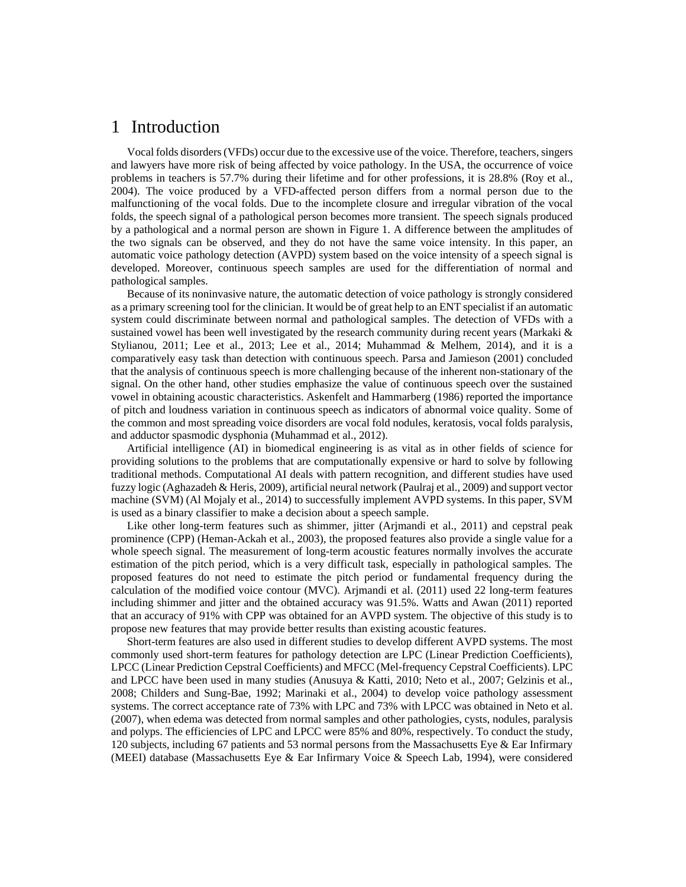## 1 Introduction

Vocal folds disorders (VFDs) occur due to the excessive use of the voice. Therefore, teachers, singers and lawyers have more risk of being affected by voice pathology. In the USA, the occurrence of voice problems in teachers is 57.7% during their lifetime and for other professions, it is 28.8% (Roy et al., 2004). The voice produced by a VFD-affected person differs from a normal person due to the malfunctioning of the vocal folds. Due to the incomplete closure and irregular vibration of the vocal folds, the speech signal of a pathological person becomes more transient. The speech signals produced by a pathological and a normal person are shown in Figure 1. A difference between the amplitudes of the two signals can be observed, and they do not have the same voice intensity. In this paper, an automatic voice pathology detection (AVPD) system based on the voice intensity of a speech signal is developed. Moreover, continuous speech samples are used for the differentiation of normal and pathological samples.

Because of its noninvasive nature, the automatic detection of voice pathology is strongly considered as a primary screening tool for the clinician. It would be of great help to an ENT specialist if an automatic system could discriminate between normal and pathological samples. The detection of VFDs with a sustained vowel has been well investigated by the research community during recent years (Markaki & Stylianou, 2011; Lee et al., 2013; Lee et al., 2014; Muhammad & Melhem, 2014), and it is a comparatively easy task than detection with continuous speech. Parsa and Jamieson (2001) concluded that the analysis of continuous speech is more challenging because of the inherent non-stationary of the signal. On the other hand, other studies emphasize the value of continuous speech over the sustained vowel in obtaining acoustic characteristics. Askenfelt and Hammarberg (1986) reported the importance of pitch and loudness variation in continuous speech as indicators of abnormal voice quality. Some of the common and most spreading voice disorders are vocal fold nodules, keratosis, vocal folds paralysis, and adductor spasmodic dysphonia (Muhammad et al., 2012).

Artificial intelligence (AI) in biomedical engineering is as vital as in other fields of science for providing solutions to the problems that are computationally expensive or hard to solve by following traditional methods. Computational AI deals with pattern recognition, and different studies have used fuzzy logic (Aghazadeh & Heris, 2009), artificial neural network (Paulraj et al., 2009) and support vector machine (SVM) (Al Mojaly et al., 2014) to successfully implement AVPD systems. In this paper, SVM is used as a binary classifier to make a decision about a speech sample.

Like other long-term features such as shimmer, jitter (Arjmandi et al., 2011) and cepstral peak prominence (CPP) (Heman-Ackah et al., 2003), the proposed features also provide a single value for a whole speech signal. The measurement of long-term acoustic features normally involves the accurate estimation of the pitch period, which is a very difficult task, especially in pathological samples. The proposed features do not need to estimate the pitch period or fundamental frequency during the calculation of the modified voice contour (MVC). Arjmandi et al. (2011) used 22 long-term features including shimmer and jitter and the obtained accuracy was 91.5%. Watts and Awan (2011) reported that an accuracy of 91% with CPP was obtained for an AVPD system. The objective of this study is to propose new features that may provide better results than existing acoustic features.

Short-term features are also used in different studies to develop different AVPD systems. The most commonly used short-term features for pathology detection are LPC (Linear Prediction Coefficients), LPCC (Linear Prediction Cepstral Coefficients) and MFCC (Mel-frequency Cepstral Coefficients). LPC and LPCC have been used in many studies (Anusuya & Katti, 2010; Neto et al., 2007; Gelzinis et al., 2008; Childers and Sung-Bae, 1992; Marinaki et al., 2004) to develop voice pathology assessment systems. The correct acceptance rate of 73% with LPC and 73% with LPCC was obtained in Neto et al. (2007), when edema was detected from normal samples and other pathologies, cysts, nodules, paralysis and polyps. The efficiencies of LPC and LPCC were 85% and 80%, respectively. To conduct the study, 120 subjects, including 67 patients and 53 normal persons from the Massachusetts Eye & Ear Infirmary (MEEI) database (Massachusetts Eye & Ear Infirmary Voice & Speech Lab, 1994), were considered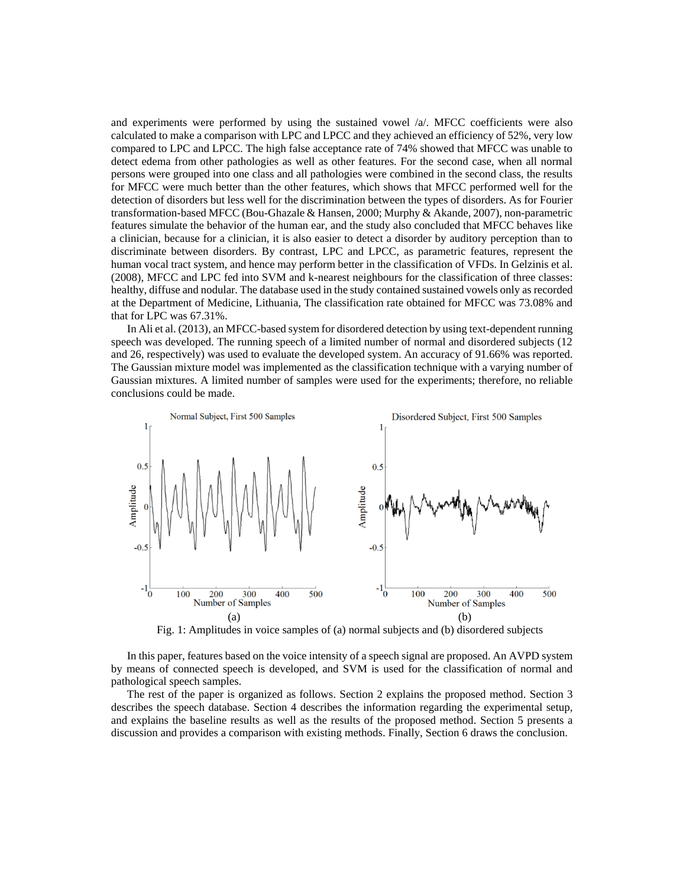and experiments were performed by using the sustained vowel  $\alpha$ . MFCC coefficients were also calculated to make a comparison with LPC and LPCC and they achieved an efficiency of 52%, very low compared to LPC and LPCC. The high false acceptance rate of 74% showed that MFCC was unable to detect edema from other pathologies as well as other features. For the second case, when all normal persons were grouped into one class and all pathologies were combined in the second class, the results for MFCC were much better than the other features, which shows that MFCC performed well for the detection of disorders but less well for the discrimination between the types of disorders. As for Fourier transformation-based MFCC (Bou-Ghazale & Hansen, 2000; Murphy & Akande, 2007), non-parametric features simulate the behavior of the human ear, and the study also concluded that MFCC behaves like a clinician, because for a clinician, it is also easier to detect a disorder by auditory perception than to discriminate between disorders. By contrast, LPC and LPCC, as parametric features, represent the human vocal tract system, and hence may perform better in the classification of VFDs. In Gelzinis et al. (2008), MFCC and LPC fed into SVM and k-nearest neighbours for the classification of three classes: healthy, diffuse and nodular. The database used in the study contained sustained vowels only as recorded at the Department of Medicine, Lithuania, The classification rate obtained for MFCC was 73.08% and that for LPC was 67.31%.

In Ali et al. (2013), an MFCC-based system for disordered detection by using text-dependent running speech was developed. The running speech of a limited number of normal and disordered subjects (12 and 26, respectively) was used to evaluate the developed system. An accuracy of 91.66% was reported. The Gaussian mixture model was implemented as the classification technique with a varying number of Gaussian mixtures. A limited number of samples were used for the experiments; therefore, no reliable conclusions could be made.



Fig. 1: Amplitudes in voice samples of (a) normal subjects and (b) disordered subjects

In this paper, features based on the voice intensity of a speech signal are proposed. An AVPD system by means of connected speech is developed, and SVM is used for the classification of normal and pathological speech samples.

The rest of the paper is organized as follows. Section 2 explains the proposed method. Section 3 describes the speech database. Section 4 describes the information regarding the experimental setup, and explains the baseline results as well as the results of the proposed method. Section 5 presents a discussion and provides a comparison with existing methods. Finally, Section 6 draws the conclusion.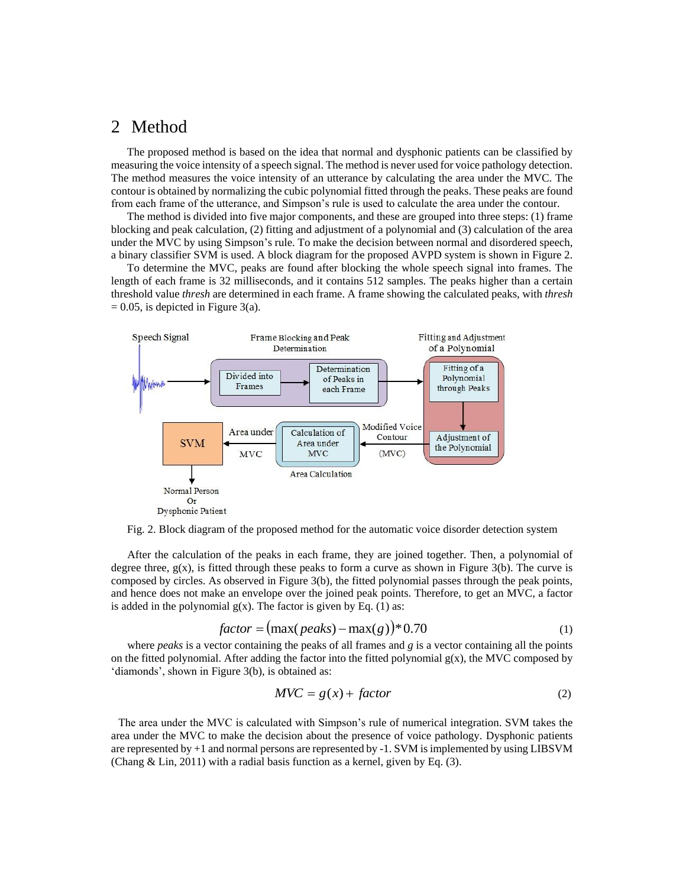### 2 Method

The proposed method is based on the idea that normal and dysphonic patients can be classified by measuring the voice intensity of a speech signal. The method is never used for voice pathology detection. The method measures the voice intensity of an utterance by calculating the area under the MVC. The contour is obtained by normalizing the cubic polynomial fitted through the peaks. These peaks are found from each frame of the utterance, and Simpson's rule is used to calculate the area under the contour.

The method is divided into five major components, and these are grouped into three steps: (1) frame blocking and peak calculation, (2) fitting and adjustment of a polynomial and (3) calculation of the area under the MVC by using Simpson's rule. To make the decision between normal and disordered speech, a binary classifier SVM is used. A block diagram for the proposed AVPD system is shown in Figure 2.

To determine the MVC, peaks are found after blocking the whole speech signal into frames. The length of each frame is 32 milliseconds, and it contains 512 samples. The peaks higher than a certain threshold value *thresh* are determined in each frame. A frame showing the calculated peaks, with *thresh*  $= 0.05$ , is depicted in Figure 3(a).



Fig. 2. Block diagram of the proposed method for the automatic voice disorder detection system

After the calculation of the peaks in each frame, they are joined together. Then, a polynomial of degree three,  $g(x)$ , is fitted through these peaks to form a curve as shown in Figure 3(b). The curve is composed by circles. As observed in Figure 3(b), the fitted polynomial passes through the peak points, and hence does not make an envelope over the joined peak points. Therefore, to get an MVC, a factor is added in the polynomial  $g(x)$ . The factor is given by Eq. (1) as:

$$
factor = (\max(\text{peaks}) - \max(g))^* 0.70 \tag{1}
$$

where *peaks* is a vector containing the peaks of all frames and *g* is a vector containing all the points on the fitted polynomial. After adding the factor into the fitted polynomial  $g(x)$ , the MVC composed by 'diamonds', shown in Figure 3(b), is obtained as:

$$
MVC = g(x) + factor
$$
 (2)

The area under the MVC is calculated with Simpson's rule of numerical integration. SVM takes the area under the MVC to make the decision about the presence of voice pathology. Dysphonic patients are represented by +1 and normal persons are represented by -1. SVM is implemented by using LIBSVM (Chang & Lin, 2011) with a radial basis function as a kernel, given by Eq. (3).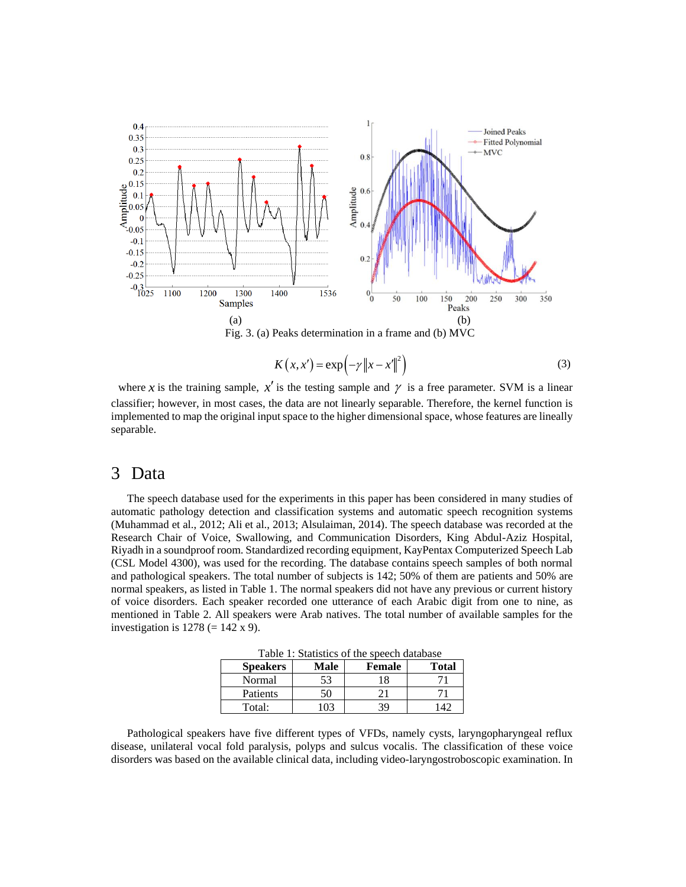

Fig. 3. (a) Peaks determination in a frame and (b) MVC

$$
K(x, x') = \exp\left(-\gamma \|x - x'\|^2\right) \tag{3}
$$

where x is the training sample,  $x'$  is the testing sample and  $\gamma$  is a free parameter. SVM is a linear classifier; however, in most cases, the data are not linearly separable. Therefore, the kernel function is implemented to map the original input space to the higher dimensional space, whose features are lineally separable.

### 3 Data

The speech database used for the experiments in this paper has been considered in many studies of automatic pathology detection and classification systems and automatic speech recognition systems (Muhammad et al., 2012; Ali et al., 2013; Alsulaiman, 2014). The speech database was recorded at the Research Chair of Voice, Swallowing, and Communication Disorders, King Abdul-Aziz Hospital, Riyadh in a soundproof room. Standardized recording equipment, KayPentax Computerized Speech Lab (CSL Model 4300), was used for the recording. The database contains speech samples of both normal and pathological speakers. The total number of subjects is 142; 50% of them are patients and 50% are normal speakers, as listed in Table 1. The normal speakers did not have any previous or current history of voice disorders. Each speaker recorded one utterance of each Arabic digit from one to nine, as mentioned in Table 2. All speakers were Arab natives. The total number of available samples for the investigation is  $1278 (= 142 \times 9)$ .

Table 1: Statistics of the speech database

| <b>Speakers</b> | Male     | <b>Female</b> | Total |  |  |  |
|-----------------|----------|---------------|-------|--|--|--|
| Normal          | 53       |               |       |  |  |  |
| Patients        | 50       |               |       |  |  |  |
| Total:          | $\Omega$ | 30            |       |  |  |  |

Pathological speakers have five different types of VFDs, namely cysts, laryngopharyngeal reflux disease, unilateral vocal fold paralysis, polyps and sulcus vocalis. The classification of these voice disorders was based on the available clinical data, including video-laryngostroboscopic examination. In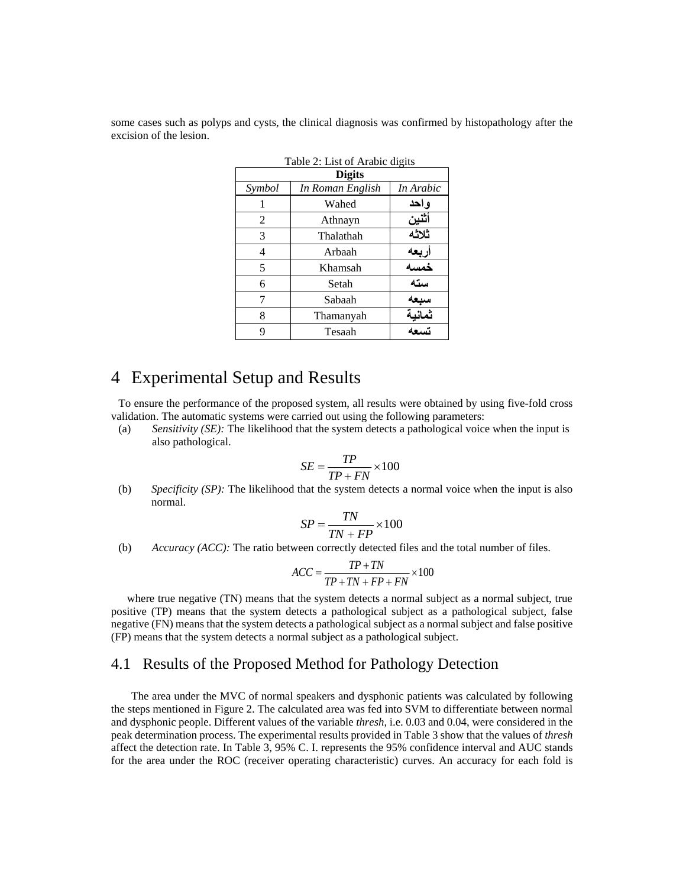some cases such as polyps and cysts, the clinical diagnosis was confirmed by histopathology after the excision of the lesion.

| <b>TAURE 2. LIST OF ATAUR UIGHS</b> |           |        |  |  |  |
|-------------------------------------|-----------|--------|--|--|--|
| <b>Digits</b>                       |           |        |  |  |  |
| Symbol                              | In Arabic |        |  |  |  |
|                                     | Wahed     | واحد   |  |  |  |
| 2                                   | Athnayn   | أثنين  |  |  |  |
| 3                                   | Thalathah | ثلاثه  |  |  |  |
| 4                                   | Arbaah    | ربعه   |  |  |  |
| 5                                   | Khamsah   | خمسه   |  |  |  |
| 6                                   | Setah     | سته    |  |  |  |
|                                     | Sabaah    | سيعه   |  |  |  |
| 8                                   | Thamanyah | ثمانية |  |  |  |
| q                                   | Tesaah    | تسعه   |  |  |  |

Table 2: List of Arabic digits

### 4 Experimental Setup and Results

To ensure the performance of the proposed system, all results were obtained by using five-fold cross validation. The automatic systems were carried out using the following parameters:

(a) *Sensitivity (SE):* The likelihood that the system detects a pathological voice when the input is also pathological.

$$
SE = \frac{TP}{TP + FN} \times 100
$$

(b) *Specificity (SP):* The likelihood that the system detects a normal voice when the input is also normal.

$$
SP = \frac{TN}{TN + FP} \times 100
$$

(b) *Accuracy (ACC):* The ratio between correctly detected files and the total number of files.<br> $ACC = \frac{TP + TN}{\frac{TP + TN}{\frac{TP + TN}{\frac{TP + TN}{\frac{TP + IN}{\frac{TP + IN}{\frac{TP + IN}{\frac{TP + IN}{\frac{TP + IN}{\frac{TP + IN}{\frac{TP + IN}{\frac{TP + IN}{\frac{TP + IN}{\frac{TP + IN}{\frac{TP + IN}{\frac{TP + IN}{\frac{TP + IN}{\frac{$ 

$$
ACC = \frac{TP + TN}{TP + TN + FP + FN} \times 100
$$

where true negative (TN) means that the system detects a normal subject as a normal subject, true positive (TP) means that the system detects a pathological subject as a pathological subject, false negative (FN) means that the system detects a pathological subject as a normal subject and false positive (FP) means that the system detects a normal subject as a pathological subject.

### 4.1 Results of the Proposed Method for Pathology Detection

The area under the MVC of normal speakers and dysphonic patients was calculated by following the steps mentioned in Figure 2. The calculated area was fed into SVM to differentiate between normal and dysphonic people. Different values of the variable *thresh*, i.e. 0.03 and 0.04, were considered in the peak determination process. The experimental results provided in Table 3 show that the values of *thresh* affect the detection rate. In Table 3, 95% C. I. represents the 95% confidence interval and AUC stands for the area under the ROC (receiver operating characteristic) curves. An accuracy for each fold is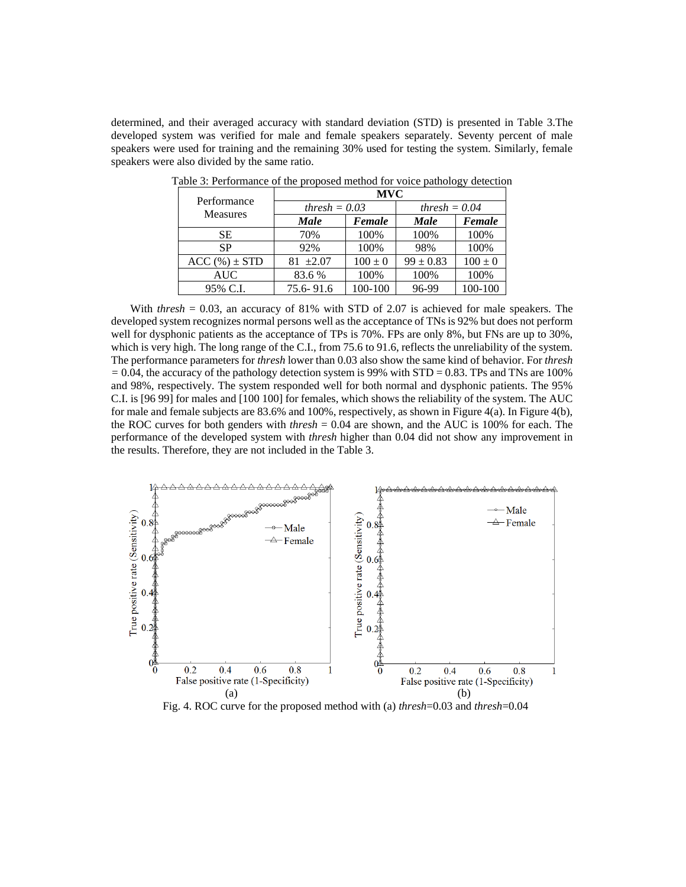determined, and their averaged accuracy with standard deviation (STD) is presented in Table 3.The developed system was verified for male and female speakers separately. Seventy percent of male speakers were used for training and the remaining 30% used for testing the system. Similarly, female speakers were also divided by the same ratio.

| Performance      | <b>MVC</b>      |             |                 |             |  |
|------------------|-----------------|-------------|-----------------|-------------|--|
|                  | thresh $= 0.03$ |             | thresh $= 0.04$ |             |  |
| <b>Measures</b>  | Male            | Female      | <b>Male</b>     | Female      |  |
| SЕ               | 70%             | 100%        | 100%            | 100%        |  |
| <b>SP</b>        | 92%             | 100%        | 98%             | 100%        |  |
| $ACC(%) \pm STD$ | $81 + 2.07$     | $100 \pm 0$ | $99 \pm 0.83$   | $100 \pm 0$ |  |
| <b>AUC</b>       | 83.6 %          | 100%        | 100%            | 100%        |  |
| 95% C.I.         | 75.6-91.6       | 100-100     | 96-99           | 100-100     |  |

Table 3: Performance of the proposed method for voice pathology detection

With *thresh* = 0.03, an accuracy of 81% with STD of 2.07 is achieved for male speakers. The developed system recognizes normal persons well as the acceptance of TNs is 92% but does not perform well for dysphonic patients as the acceptance of TPs is 70%. FPs are only 8%, but FNs are up to 30%, which is very high. The long range of the C.I., from 75.6 to 91.6, reflects the unreliability of the system. The performance parameters for *thresh* lower than 0.03 also show the same kind of behavior. For *thresh*  $= 0.04$ , the accuracy of the pathology detection system is 99% with STD  $= 0.83$ . TPs and TNs are 100% and 98%, respectively. The system responded well for both normal and dysphonic patients. The 95% C.I. is [96 99] for males and [100 100] for females, which shows the reliability of the system. The AUC for male and female subjects are 83.6% and 100%, respectively, as shown in Figure 4(a). In Figure 4(b), the ROC curves for both genders with *thresh* = 0.04 are shown, and the AUC is 100% for each. The performance of the developed system with *thresh* higher than 0.04 did not show any improvement in the results. Therefore, they are not included in the Table 3.



Fig. 4. ROC curve for the proposed method with (a) *thresh*=0.03 and *thresh*=0.04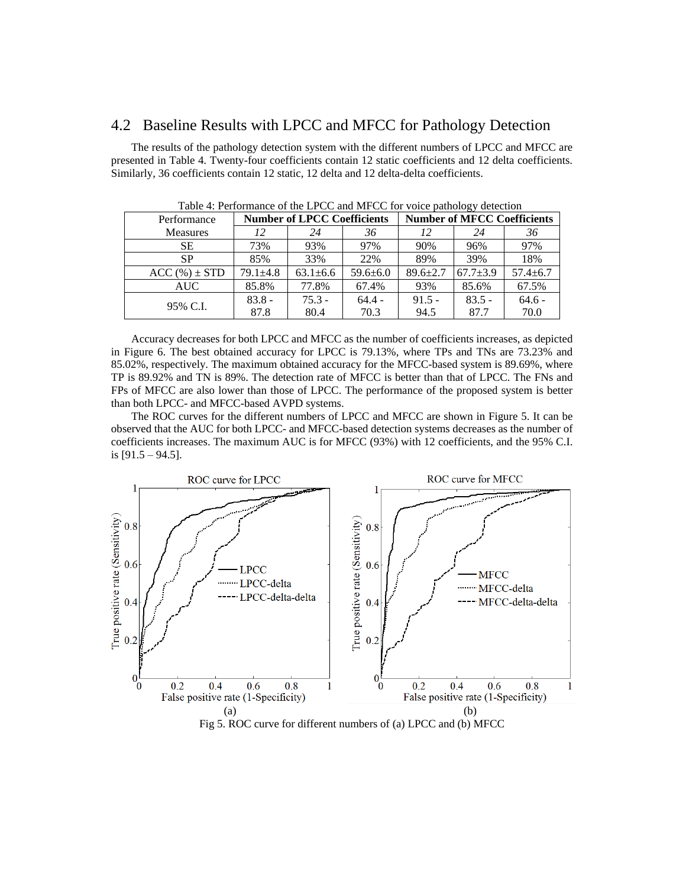### 4.2 Baseline Results with LPCC and MFCC for Pathology Detection

The results of the pathology detection system with the different numbers of LPCC and MFCC are presented in Table 4. Twenty-four coefficients contain 12 static coefficients and 12 delta coefficients. Similarly, 36 coefficients contain 12 static, 12 delta and 12 delta-delta coefficients.

| Performance      | <b>Number of LPCC Coefficients</b> |                |                | <b>Number of MFCC Coefficients</b> |                |                |
|------------------|------------------------------------|----------------|----------------|------------------------------------|----------------|----------------|
| <b>Measures</b>  | 12                                 | 24             | 36             | 12                                 | 24             | 36             |
| <b>SE</b>        | 73%                                | 93%            | 97%            | 90%                                | 96%            | 97%            |
| SP               | 85%                                | 33%            | 22%            | 89%                                | 39%            | 18%            |
| $ACC(%) \pm STD$ | $79.1 \pm 4.8$                     | $63.1 \pm 6.6$ | $59.6 \pm 6.0$ | $89.6 \pm 2.7$                     | $67.7 \pm 3.9$ | $57.4 \pm 6.7$ |
| <b>AUC</b>       | 85.8%                              | 77.8%          | 67.4%          | 93%                                | 85.6%          | 67.5%          |
|                  | $83.8 -$                           | $75.3 -$       | $64.4 -$       | $91.5 -$                           | $83.5 -$       | $64.6 -$       |
| 95% C.I.         | 87.8                               | 80.4           | 70.3           | 94.5                               | 87.7           | 70.0           |

Table 4: Performance of the LPCC and MFCC for voice pathology detection

Accuracy decreases for both LPCC and MFCC as the number of coefficients increases, as depicted in Figure 6. The best obtained accuracy for LPCC is 79.13%, where TPs and TNs are 73.23% and 85.02%, respectively. The maximum obtained accuracy for the MFCC-based system is 89.69%, where TP is 89.92% and TN is 89%. The detection rate of MFCC is better than that of LPCC. The FNs and FPs of MFCC are also lower than those of LPCC. The performance of the proposed system is better than both LPCC- and MFCC-based AVPD systems.

The ROC curves for the different numbers of LPCC and MFCC are shown in Figure 5. It can be observed that the AUC for both LPCC- and MFCC-based detection systems decreases as the number of coefficients increases. The maximum AUC is for MFCC (93%) with 12 coefficients, and the 95% C.I. is [91.5 – 94.5].

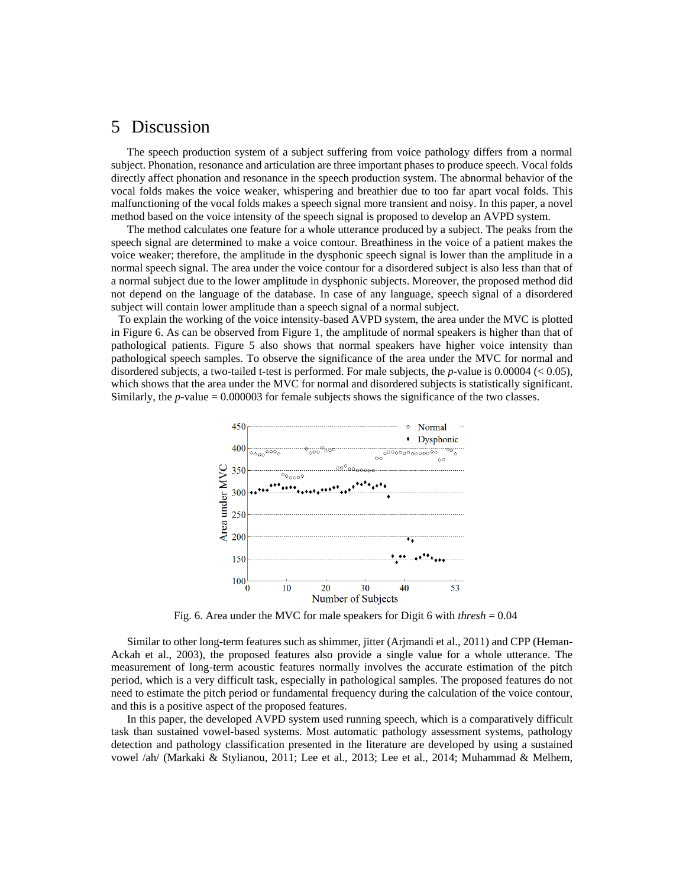## 5 Discussion

The speech production system of a subject suffering from voice pathology differs from a normal subject. Phonation, resonance and articulation are three important phases to produce speech. Vocal folds directly affect phonation and resonance in the speech production system. The abnormal behavior of the vocal folds makes the voice weaker, whispering and breathier due to too far apart vocal folds. This malfunctioning of the vocal folds makes a speech signal more transient and noisy. In this paper, a novel method based on the voice intensity of the speech signal is proposed to develop an AVPD system.

The method calculates one feature for a whole utterance produced by a subject. The peaks from the speech signal are determined to make a voice contour. Breathiness in the voice of a patient makes the voice weaker; therefore, the amplitude in the dysphonic speech signal is lower than the amplitude in a normal speech signal. The area under the voice contour for a disordered subject is also less than that of a normal subject due to the lower amplitude in dysphonic subjects. Moreover, the proposed method did not depend on the language of the database. In case of any language, speech signal of a disordered subject will contain lower amplitude than a speech signal of a normal subject.

To explain the working of the voice intensity-based AVPD system, the area under the MVC is plotted in Figure 6. As can be observed from Figure 1, the amplitude of normal speakers is higher than that of pathological patients. Figure 5 also shows that normal speakers have higher voice intensity than pathological speech samples. To observe the significance of the area under the MVC for normal and disordered subjects, a two-tailed t-test is performed. For male subjects, the *p-*value is 0.00004 (< 0.05), which shows that the area under the MVC for normal and disordered subjects is statistically significant. Similarly, the *p-*value = 0.000003 for female subjects shows the significance of the two classes.



Fig. 6. Area under the MVC for male speakers for Digit 6 with *thresh* = 0.04

Similar to other long-term features such as shimmer, jitter (Arjmandi et al., 2011) and CPP (Heman-Ackah et al., 2003), the proposed features also provide a single value for a whole utterance. The measurement of long-term acoustic features normally involves the accurate estimation of the pitch period, which is a very difficult task, especially in pathological samples. The proposed features do not need to estimate the pitch period or fundamental frequency during the calculation of the voice contour, and this is a positive aspect of the proposed features.

In this paper, the developed AVPD system used running speech, which is a comparatively difficult task than sustained vowel-based systems. Most automatic pathology assessment systems, pathology detection and pathology classification presented in the literature are developed by using a sustained vowel /ah/ (Markaki & Stylianou, 2011; Lee et al., 2013; Lee et al., 2014; Muhammad & Melhem,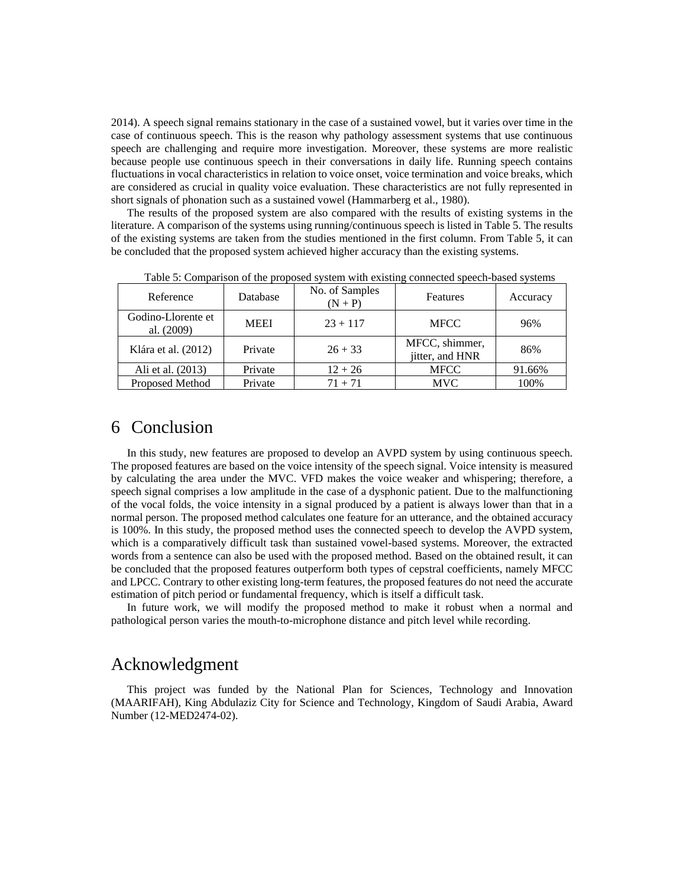2014). A speech signal remains stationary in the case of a sustained vowel, but it varies over time in the case of continuous speech. This is the reason why pathology assessment systems that use continuous speech are challenging and require more investigation. Moreover, these systems are more realistic because people use continuous speech in their conversations in daily life. Running speech contains fluctuations in vocal characteristics in relation to voice onset, voice termination and voice breaks, which are considered as crucial in quality voice evaluation. These characteristics are not fully represented in short signals of phonation such as a sustained vowel (Hammarberg et al., 1980).

The results of the proposed system are also compared with the results of existing systems in the literature. A comparison of the systems using running/continuous speech is listed in Table 5. The results of the existing systems are taken from the studies mentioned in the first column. From Table 5, it can be concluded that the proposed system achieved higher accuracy than the existing systems.

| Reference                        | Database    | No. of Samples<br>$(N + P)$ | Features                          | Accuracy |
|----------------------------------|-------------|-----------------------------|-----------------------------------|----------|
| Godino-Llorente et<br>al. (2009) | <b>MEEI</b> | $23 + 117$                  | <b>MFCC</b>                       | 96%      |
| Klára et al. (2012)              | Private     | $26 + 33$                   | MFCC, shimmer,<br>jitter, and HNR | 86%      |
| Ali et al. (2013)                | Private     | $12 + 26$                   | <b>MFCC</b>                       | 91.66%   |
| Proposed Method                  | Private     | $71 + 71$                   | <b>MVC</b>                        | 100%     |

Table 5: Comparison of the proposed system with existing connected speech-based systems

### 6 Conclusion

In this study, new features are proposed to develop an AVPD system by using continuous speech. The proposed features are based on the voice intensity of the speech signal. Voice intensity is measured by calculating the area under the MVC. VFD makes the voice weaker and whispering; therefore, a speech signal comprises a low amplitude in the case of a dysphonic patient. Due to the malfunctioning of the vocal folds, the voice intensity in a signal produced by a patient is always lower than that in a normal person. The proposed method calculates one feature for an utterance, and the obtained accuracy is 100%. In this study, the proposed method uses the connected speech to develop the AVPD system, which is a comparatively difficult task than sustained vowel-based systems. Moreover, the extracted words from a sentence can also be used with the proposed method. Based on the obtained result, it can be concluded that the proposed features outperform both types of cepstral coefficients, namely MFCC and LPCC. Contrary to other existing long-term features, the proposed features do not need the accurate estimation of pitch period or fundamental frequency, which is itself a difficult task.

In future work, we will modify the proposed method to make it robust when a normal and pathological person varies the mouth-to-microphone distance and pitch level while recording.

### Acknowledgment

This project was funded by the National Plan for Sciences, Technology and Innovation (MAARIFAH), King Abdulaziz City for Science and Technology, Kingdom of Saudi Arabia, Award Number (12-MED2474-02).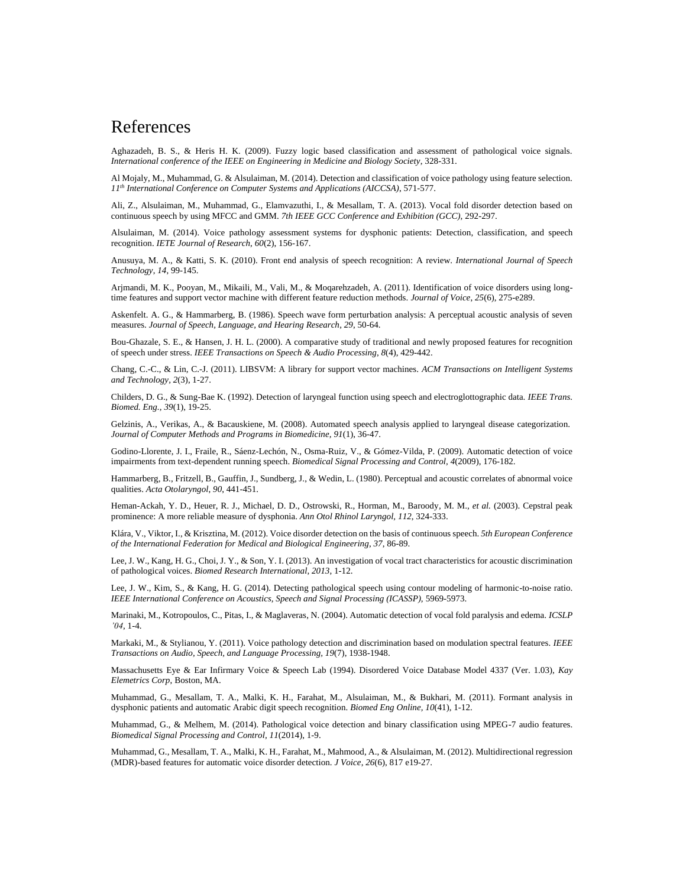### References

Aghazadeh, B. S., & Heris H. K. (2009). Fuzzy logic based classification and assessment of pathological voice signals. *International conference of the IEEE on Engineering in Medicine and Biology Society*, 328-331.

Al Mojaly, M., Muhammad, G. & Alsulaiman, M. (2014). Detection and classification of voice pathology using feature selection. *11th International Conference on Computer Systems and Applications (AICCSA)*, 571-577.

Ali, Z., Alsulaiman, M., Muhammad, G., Elamvazuthi, I., & Mesallam, T. A. (2013). Vocal fold disorder detection based on continuous speech by using MFCC and GMM. *7th IEEE GCC Conference and Exhibition (GCC),* 292-297.

Alsulaiman, M. (2014). Voice pathology assessment systems for dysphonic patients: Detection, classification, and speech recognition. *IETE Journal of Research, 60*(2), 156-167.

Anusuya, M. A., & Katti, S. K. (2010). Front end analysis of speech recognition: A review. *International Journal of Speech Technology*, *14*, 99-145.

Arjmandi, M. K., Pooyan, M., Mikaili, M., Vali, M., & Moqarehzadeh, A. (2011). Identification of voice disorders using longtime features and support vector machine with different feature reduction methods. *Journal of Voice*, *25*(6), 275-e289.

Askenfelt. A. G., & Hammarberg, B. (1986). Speech wave form perturbation analysis: A perceptual acoustic analysis of seven measures. *Journal of Speech, Language, and Hearing Research*, *29*, 50-64.

Bou-Ghazale, S. E., & Hansen, J. H. L. (2000). A comparative study of traditional and newly proposed features for recognition of speech under stress. *IEEE Transactions on Speech & Audio Processing*, *8*(4), 429-442.

Chang, C.-C., & Lin, C.-J. (2011). LIBSVM: A library for support vector machines. *ACM Transactions on Intelligent Systems and Technology, 2*(3), 1-27.

Childers, D. G., & Sung-Bae K. (1992). Detection of laryngeal function using speech and electroglottographic data. *IEEE Trans. Biomed. Eng., 39*(1), 19-25.

Gelzinis, A., Verikas, A., & Bacauskiene, M. (2008). Automated speech analysis applied to laryngeal disease categorization. *Journal of Computer Methods and Programs in Biomedicine, 91*(1), 36-47.

Godino-Llorente, J. I., Fraile, R., Sáenz-Lechón, N., Osma-Ruiz, V., & Gómez-Vilda, P. (2009). Automatic detection of voice impairments from text-dependent running speech. *Biomedical Signal Processing and Control, 4*(2009), 176-182.

Hammarberg, B., Fritzell, B., Gauffin, J., Sundberg, J., & Wedin, L. (1980). Perceptual and acoustic correlates of abnormal voice qualities. *Acta Otolaryngol*, *90*, 441-451.

Heman-Ackah, Y. D., Heuer, R. J., Michael, D. D., Ostrowski, R., Horman, M., Baroody*,* M. M., *et al.* (2003). Cepstral peak prominence: A more reliable measure of dysphonia. *Ann Otol Rhinol Laryngol, 112*, 324-333.

Klára, V., Viktor, I., & Krisztina, M. (2012). Voice disorder detection on the basis of continuous speech. *5th European Conference of the International Federation for Medical and Biological Engineering*, *37*, 86-89.

Lee, J. W., Kang, H. G., Choi, J. Y., & Son, Y. I. (2013). An investigation of vocal tract characteristics for acoustic discrimination of pathological voices. *Biomed Research International, 2013*, 1-12.

Lee, J. W., Kim, S., & Kang, H. G. (2014). Detecting pathological speech using contour modeling of harmonic-to-noise ratio. *IEEE International Conference on Acoustics, Speech and Signal Processing (ICASSP),* 5969-5973.

Marinaki, M., Kotropoulos, C., Pitas, I., & Maglaveras, N. (2004). Automatic detection of vocal fold paralysis and edema. *ICSLP '04*, 1-4.

Markaki, M., & Stylianou, Y. (2011). Voice pathology detection and discrimination based on modulation spectral features. *IEEE Transactions on Audio, Speech, and Language Processing, 19*(7), 1938-1948.

Massachusetts Eye & Ear Infirmary Voice & Speech Lab (1994). Disordered Voice Database Model 4337 (Ver. 1.03), *Kay Elemetrics Corp*, Boston, MA.

Muhammad, G., Mesallam, T. A., Malki, K. H., Farahat, M., Alsulaiman, M., & Bukhari, M. (2011). Formant analysis in dysphonic patients and automatic Arabic digit speech recognition. *Biomed Eng Online, 10*(41), 1-12.

Muhammad, G., & Melhem, M. (2014). Pathological voice detection and binary classification using MPEG-7 audio features. *Biomedical Signal Processing and Control, 11*(2014), 1-9.

Muhammad, G., Mesallam, T. A., Malki, K. H., Farahat, M., Mahmood, A., & Alsulaiman, M. (2012). Multidirectional regression (MDR)-based features for automatic voice disorder detection. *J Voice*, *26*(6), 817 e19-27.